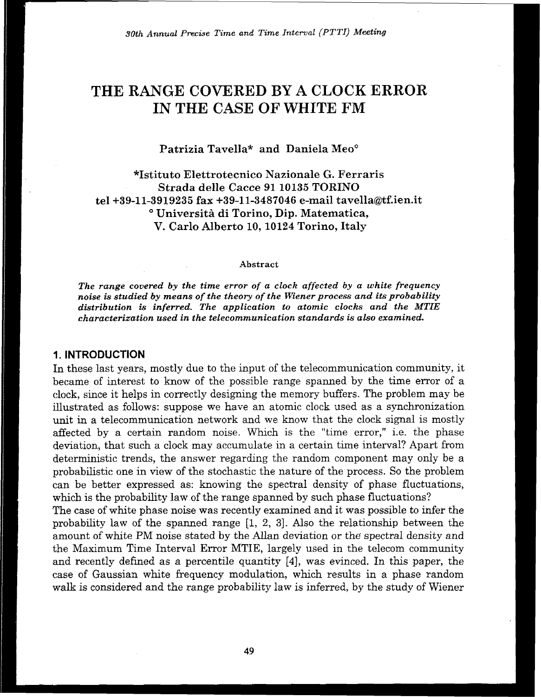! **90th** *Annual Precise Time* **and** *Time* **Interval** *(PTTI) Meeting* 

# **THE RANGE COVERED BY A CLOCK ERROR IN THE CASE OF WHITE FM**

Patrizia Tavella\* and Daniela Meo°

JCIstituto Elettrotecnico Nazionale G. Ferraris **Strada** delle **Cacce 91 10135 TORINO**  tel+39-11-3919235 **fax +39-11-3487046 e-mail** tavella@tf.ien.it " Universita di Torino, **Dip.** Matematica, V. Carlo Alberto **10,10124** Torino, Italy

#### **Abstract**

*The range covered by the time error of a clock affected by a white frequency noise is studied by* **means** *of the theory of the Wiener process* **and** *its probability distribution* **is** *inferred. The application to atomic clocks and the MTIE characterization used in the telecommunication standards* **is** *also examined.* 

#### **1. INTRODUCTION**

In these last years, mostly due to the input of the telecommunication community, it became of interest to know of the possible range spanned by the time error of a clock, since it helps in correctly designing the memory buffers. The problem may be illustrated as follows: suppose we have an atomic clock used as a synchronization unit in a telecommunication network and we know that the clock signal is mostly affected by a certain random noise. Which is the "time error," i.e. the phase deviation, that such a clock may accumulate in a certain time interval? Apart from deterministic trends, the answer regarding the random component may only be a probabilistic one in view of the stochastic the nature of the process. So the problem can be better expressed as: knowing the spectral density of phase fluctuations, which is the probability law of the range spanned by such phase fluctuations?

The case of white phase noise was recently examined and it was possible to infer the probability law of the spanned range **[l,** 2, **31.** Also the relationship between the amount of white PM noise stated by the Allan deviation or the' spectral density and the Maximum Time Interval Error MTIE, largely used in the telecom community and recently defined as a percentile quantity **[4],** was evinced. In this paper, the case of Gaussian white frequency modulation, which results in a phase random walk is considered and the range probability law is inferred, by the study of Wiener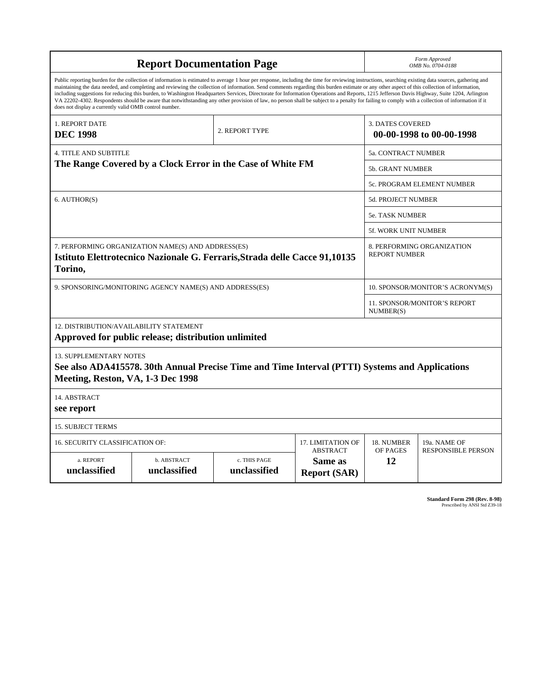| <b>Report Documentation Page</b>                                                                                                                                                                                                                                                                                                                                                                                                                                                                                                                                                                                                                                                                                                                                                                                                                                   |                                      |                              |                                           |                                                     | Form Approved<br>OMB No. 0704-0188 |  |
|--------------------------------------------------------------------------------------------------------------------------------------------------------------------------------------------------------------------------------------------------------------------------------------------------------------------------------------------------------------------------------------------------------------------------------------------------------------------------------------------------------------------------------------------------------------------------------------------------------------------------------------------------------------------------------------------------------------------------------------------------------------------------------------------------------------------------------------------------------------------|--------------------------------------|------------------------------|-------------------------------------------|-----------------------------------------------------|------------------------------------|--|
| Public reporting burden for the collection of information is estimated to average 1 hour per response, including the time for reviewing instructions, searching existing data sources, gathering and<br>maintaining the data needed, and completing and reviewing the collection of information. Send comments regarding this burden estimate or any other aspect of this collection of information,<br>including suggestions for reducing this burden, to Washington Headquarters Services, Directorate for Information Operations and Reports, 1215 Jefferson Davis Highway, Suite 1204, Arlington<br>VA 22202-4302. Respondents should be aware that notwithstanding any other provision of law, no person shall be subject to a penalty for failing to comply with a collection of information if it<br>does not display a currently valid OMB control number. |                                      |                              |                                           |                                                     |                                    |  |
| 1. REPORT DATE<br><b>DEC 1998</b>                                                                                                                                                                                                                                                                                                                                                                                                                                                                                                                                                                                                                                                                                                                                                                                                                                  |                                      | 2. REPORT TYPE               |                                           | <b>3. DATES COVERED</b><br>00-00-1998 to 00-00-1998 |                                    |  |
| <b>4. TITLE AND SUBTITLE</b>                                                                                                                                                                                                                                                                                                                                                                                                                                                                                                                                                                                                                                                                                                                                                                                                                                       |                                      |                              |                                           |                                                     | 5a. CONTRACT NUMBER                |  |
| The Range Covered by a Clock Error in the Case of White FM                                                                                                                                                                                                                                                                                                                                                                                                                                                                                                                                                                                                                                                                                                                                                                                                         |                                      |                              |                                           | 5b. GRANT NUMBER                                    |                                    |  |
|                                                                                                                                                                                                                                                                                                                                                                                                                                                                                                                                                                                                                                                                                                                                                                                                                                                                    |                                      |                              | 5c. PROGRAM ELEMENT NUMBER                |                                                     |                                    |  |
| 6. AUTHOR(S)                                                                                                                                                                                                                                                                                                                                                                                                                                                                                                                                                                                                                                                                                                                                                                                                                                                       |                                      |                              | 5d. PROJECT NUMBER                        |                                                     |                                    |  |
|                                                                                                                                                                                                                                                                                                                                                                                                                                                                                                                                                                                                                                                                                                                                                                                                                                                                    |                                      |                              | 5e. TASK NUMBER                           |                                                     |                                    |  |
|                                                                                                                                                                                                                                                                                                                                                                                                                                                                                                                                                                                                                                                                                                                                                                                                                                                                    |                                      |                              | 5f. WORK UNIT NUMBER                      |                                                     |                                    |  |
| 7. PERFORMING ORGANIZATION NAME(S) AND ADDRESS(ES)<br>Istituto Elettrotecnico Nazionale G. Ferraris, Strada delle Cacce 91,10135<br>Torino,                                                                                                                                                                                                                                                                                                                                                                                                                                                                                                                                                                                                                                                                                                                        |                                      |                              |                                           | 8. PERFORMING ORGANIZATION<br><b>REPORT NUMBER</b>  |                                    |  |
| 9. SPONSORING/MONITORING AGENCY NAME(S) AND ADDRESS(ES)                                                                                                                                                                                                                                                                                                                                                                                                                                                                                                                                                                                                                                                                                                                                                                                                            |                                      |                              | 10. SPONSOR/MONITOR'S ACRONYM(S)          |                                                     |                                    |  |
|                                                                                                                                                                                                                                                                                                                                                                                                                                                                                                                                                                                                                                                                                                                                                                                                                                                                    |                                      |                              |                                           | 11. SPONSOR/MONITOR'S REPORT<br>NUMBER(S)           |                                    |  |
| 12. DISTRIBUTION/AVAILABILITY STATEMENT<br>Approved for public release; distribution unlimited                                                                                                                                                                                                                                                                                                                                                                                                                                                                                                                                                                                                                                                                                                                                                                     |                                      |                              |                                           |                                                     |                                    |  |
| <b>13. SUPPLEMENTARY NOTES</b><br>See also ADA415578. 30th Annual Precise Time and Time Interval (PTTI) Systems and Applications<br>Meeting, Reston, VA, 1-3 Dec 1998                                                                                                                                                                                                                                                                                                                                                                                                                                                                                                                                                                                                                                                                                              |                                      |                              |                                           |                                                     |                                    |  |
| 14. ABSTRACT<br>see report                                                                                                                                                                                                                                                                                                                                                                                                                                                                                                                                                                                                                                                                                                                                                                                                                                         |                                      |                              |                                           |                                                     |                                    |  |
| <b>15. SUBJECT TERMS</b>                                                                                                                                                                                                                                                                                                                                                                                                                                                                                                                                                                                                                                                                                                                                                                                                                                           |                                      |                              |                                           |                                                     |                                    |  |
| 16. SECURITY CLASSIFICATION OF:                                                                                                                                                                                                                                                                                                                                                                                                                                                                                                                                                                                                                                                                                                                                                                                                                                    | 17. LIMITATION OF<br><b>ABSTRACT</b> | 18. NUMBER<br>OF PAGES       | 19a. NAME OF<br><b>RESPONSIBLE PERSON</b> |                                                     |                                    |  |
| a. REPORT<br>unclassified                                                                                                                                                                                                                                                                                                                                                                                                                                                                                                                                                                                                                                                                                                                                                                                                                                          | b. ABSTRACT<br>unclassified          | c. THIS PAGE<br>unclassified | Same as<br><b>Report (SAR)</b>            | 12                                                  |                                    |  |

**Standard Form 298 (Rev. 8-98)**<br>Prescribed by ANSI Std Z39-18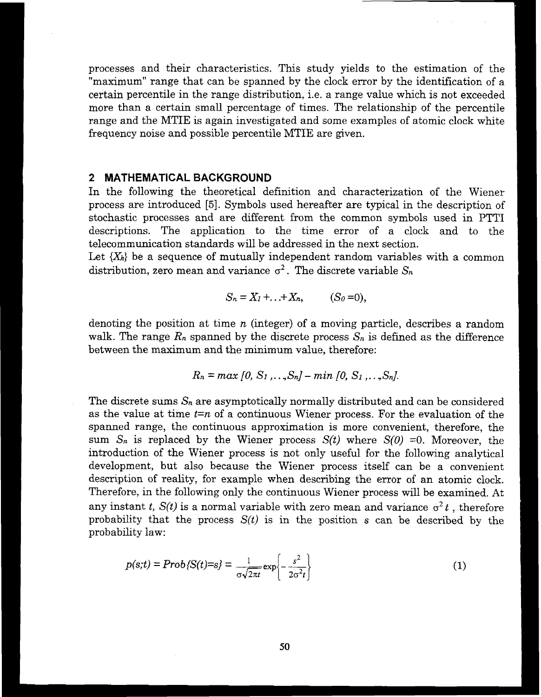processes and their characteristics. This study yields to the estimation of the ''maximum'' range that can be spanned by the clock error by the identification of a certain percentile in the range distribution, i.e. a range value which is not exceeded more than a certain small percentage of times. The relationship of the percentile range and the MTIE is again investigated and some examples of atomic clock whte frequency noise and possible percentile MTIE are given.

#### **2 MATHEMATICAL BACKGROUND**

In the following the theoretical definition and characterization of the Wiener process are introduced **[5].** Symbols used hereafter are typical in the description of stochastic processes and are different from the common symbols used in PTTI descriptions. The application to the time error of a clock and to the telecommunication standards will be addressed in the next section.

Let  $\{X_k\}$  be a sequence of mutually independent random variables with a common distribution, zero mean and variance  $\sigma^2$ . The discrete variable  $S_n$ 

$$
S_n=X_1+\ldots+X_n,\qquad (S_0=0),
$$

denoting the position at time *n* (integer) of a moving particle, describes a random walk. The range  $R_n$  spanned by the discrete process  $S_n$  is defined as the difference between the maximum and the minimum value, therefore:

$$
R_n = \max [0, S_1, \ldots, S_n] - \min [0, S_1, \ldots, S_n].
$$

The discrete sums  $S_n$  are asymptotically normally distributed and can be considered as the value at time *t=n* of a continuous Wiener process. For the evaluation of the spanned range, the continuous approximation is more convenient, therefore, the sum  $S_n$  is replaced by the Wiener process  $S(t)$  where  $S(0) = 0$ . Moreover, the introduction of the Wiener process is not only useful for the following analytical development, but also because the Wiener process itself can be a convenient description of reality, for example when describing the error of an atomic clock. Therefore, in the following only the continuous Wiener process will be examined. At any instant *t*,  $S(t)$  is a normal variable with zero mean and variance  $\sigma^2 t$ , therefore probability that the process  $S(t)$  is in the position s can be described by the probability law: Free, in the following only the continuant t,  $S(t)$  is a normal variable will<br>tant t,  $S(t)$  is a normal variable will<br>lity law:<br> $p(s;t) = Prob\{S(t)=s\} = \frac{1}{\sigma\sqrt{2\pi t}}exp\left\{-\frac{s}{2\sigma\sqrt{2\pi t}}\right\}$ 

$$
p(s;t) = Prob\{S(t)=s\} = \frac{1}{\sigma\sqrt{2\pi t}} \exp\left\{-\frac{s^2}{2\sigma^2 t}\right\}
$$
 (1)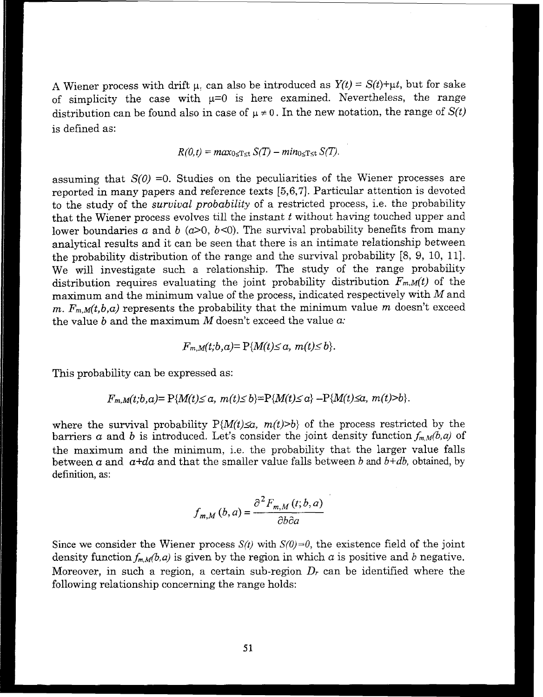A Wiener process with drift  $\mu$ . can also be introduced as  $Y(t) = S(t) + \mu t$ , but for sake of simplicity the case with  $\mu=0$  is here examined. Nevertheless, the range distribution can be found also in case of  $\mu \neq 0$ . In the new notation, the range of  $S(t)$ is defined *as:* 

$$
R(0,t) = \max_{0 \leq T \leq t} S(T) - \min_{0 \leq T \leq t} S(T).
$$

assuming that  $S(0) = 0$ . Studies on the peculiarities of the Wiener processes are reported in many papers and reference texts [5,6,7]. Particular attention is devoted to the study of the *survival probability* of a restricted process, i.e. the probability that the Wiener process evolves till the instant *t* without having touched upper and lower boundaries  $a$  and  $b$  ( $a>0$ ,  $b<0$ ). The survival probability benefits from many analytical results and it can be seen that there is an intimate relationship between the probability distribution of the range and the survival probability 18, 9, 10, 111. We will investigate such a relationship. The study of the range probability distribution requires evaluating the joint probability distribution  $F_{m,M}(t)$  of the maximum and the minimum value of the process, indicated respectively with  $M$  and *m.*  $F_{m,M}(t,b,a)$  represents the probability that the minimum value m doesn't exceed the value  $b$  and the maximum  $M$  doesn't exceed the value  $a$ .

$$
F_{m,M}(t;b,a)=P\{M(t)\leq a, m(t)\leq b\}.
$$

This probability can be expressed as:

$$
F_{m,M}(t;b,a) = P\{M(t) \le a, m(t) \le b\} = P\{M(t) \le a\} - P\{M(t) \le a, m(t) > b\}.
$$

where the survival probability  $P\{M(t)\leq\alpha, m(t)\geq b\}$  of the process restricted by the barriers *a* and *b* is introduced. Let's consider the joint density function  $f_{m,M}(b,a)$  of the maximum and the minimum, i.e. the probability that the larger value falls between a and  $a+d$ a and that the smaller value falls between b and  $b+d$ , obtained, by definition, as:

$$
f_{m,M}(b,a) = \frac{\partial^2 F_{m,M}(t;b,a)}{\partial b \partial a}
$$

Since we consider the Wiener process  $S(t)$  with  $S(0)=0$ , the existence field of the joint density function  $f_{m,M}(b,a)$  is given by the region in which a is positive and b negative. Moreover, in such a region, a certain sub-region  $D_r$  can be identified where the following relationship concerning the range holds: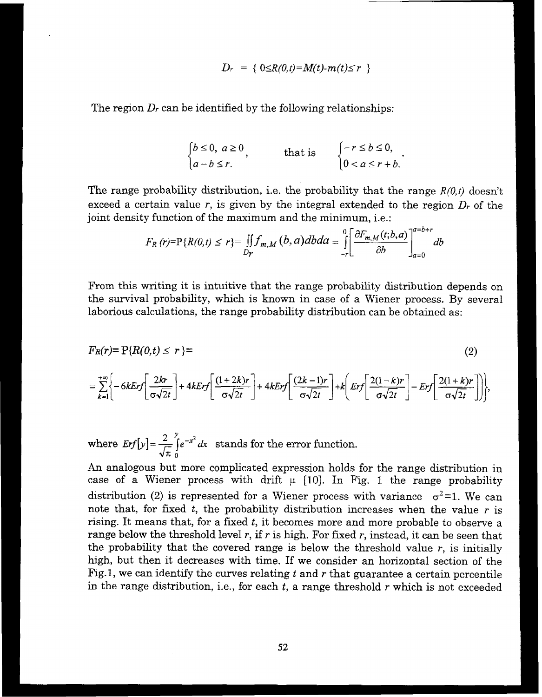$$
D_r = \{ 0 \leq R(0,t) = M(t) \cdot m(t) \leq r \}
$$

The region **Dr** can be identified by the following relationships:

$$
\begin{cases} b \le 0, \ a \ge 0 \\ a - b \le r. \end{cases}
$$
 that is 
$$
\begin{cases} -r \le b \le 0, \\ 0 < a \le r + b. \end{cases}
$$
.

The range probability distribution, i.e. the probability that the range  $R(0,t)$  doesn't exceed a certain value  $r$ , is given by the integral extended to the region  $D_r$  of the joint density function of the maximum and the minimum, i.e.:

$$
F_R(r)=P\{R(0,t)\leq r\}=\iint_{Dr}f_{m,M}(b,a)dbda=\iint_{-r}\left[\frac{\partial F_{m,M}(t;b,a)}{\partial b}\right]_{a=0}^{a=b+r}db
$$

From this writing it is intuitive that the range probability distribution depends on the survival probability, which is known in case of a Wiener process. By several laborious calculations, the range probability distribution can be obtained as:

$$
F_R(r) = P\{R(0,t) \le r\} =
$$
\n
$$
= \sum_{k=1}^{+\infty} \left\{-6kErf\left[\frac{2kr}{\sigma\sqrt{2t}}\right] + 4kErf\left[\frac{(1+2k)r}{\sigma\sqrt{2t}}\right] + 4kErf\left[\frac{(2k-1)r}{\sigma\sqrt{2t}}\right] + k\left[Erf\left[\frac{2(1-k)r}{\sigma\sqrt{2t}}\right] - Erf\left[\frac{2(1+k)r}{\sigma\sqrt{2t}}\right]\right],
$$
\n(2)

where  $Erf[y] = \frac{2}{\sqrt{\pi}} \int_{0}^{y} e^{-x^2} dx$  stands for the error function.

An analogous but more complicated expression holds for the range distribution in case of a Wiener process with drift  $\mu$  [10]. In Fig. 1 the range probability distribution (2) is represented for a Wiener process with variance  $\sigma^2=1$ . We can note that, for fixed t, the probability distribution increases when the value *r* is rising. It means that, for a fixed *t,* it becomes more and more probable to observe a range below the threshold level r, if r is high. For fixed r, instead, it can be seen that the probability that the covered range is below the threshold value  $r$ , is initially **high,** but then it decreases with time. If we consider an horizontal section of the Fig. 1, we can identify the curves relating *t* and *r* that guarantee a certain percentile in the range distribution, i.e., for each *t,* a range threshold *r* which is not exceeded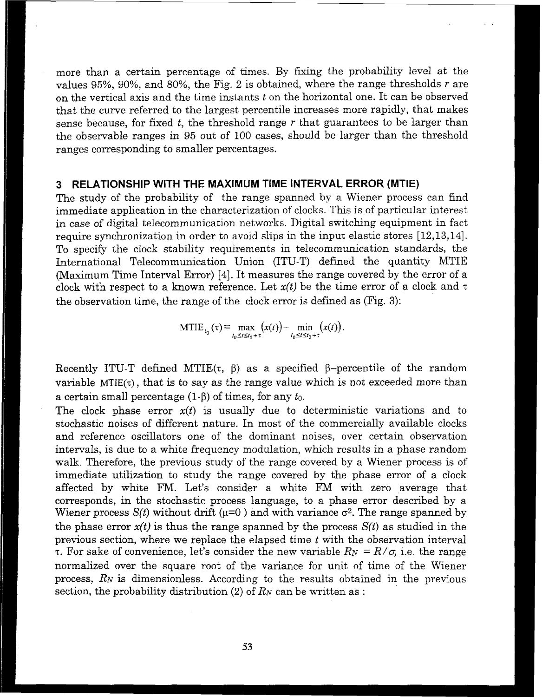more than a certain percentage of times. By fixing the probability level at the values 95%, 90%, and 80%, the Fig. 2 is obtained, where the range thresholds r are on the vertical axis and the time instants  $t$  on the horizontal one. It can be observed that the curve referred to the largest percentile increases more rapidly, that makes sense because, for fixed *t,* the threshold range r that guarantees to be larger than the observable ranges in 95 out of 100 cases, should be larger than the threshold ranges corresponding to smaller percentages.

### **3 RELATIONSHIP WITH THE MAXIMUM TIME INTERVAL ERROR (MTIE)**

The study of the probability of the range spanned by a Wiener process can find immediate application in the characterization of clocks. This is of particular interest in case of digital telecommunication networks. Digital switching equipment in fact require synchronization in order to avoid slips in the input elastic stores [12,13,14]. To specify the clock stability requirements in telecommunication standards, the International Telecommunication Union (ITU-T) defined the quantity MTIE (Maximum Time Interval Error) [4]. It measures the range covered by the error of a clock with respect to a known reference. Let  $x(t)$  be the time error of a clock and  $\tau$ the observation time, the range of the clock error is defmed as (Fig. **3):** 

MTIE<sub>t<sub>0</sub></sub>(
$$
\tau
$$
) = max<sub>t<sub>0</sub>≤t≤t<sub>0</sub>+ $\tau$</sub>   $(x(t))$  - min<sub>t<sub>0</sub>≤t≤t<sub>0</sub>+ $\tau$</sub>   $(x(t))$ .

Recently ITU-T defined MTIE( $\tau$ ,  $\beta$ ) as a specified  $\beta$ -percentile of the random variable MTIE $(\tau)$ , that is to say as the range value which is not exceeded more than a certain small percentage  $(1-\beta)$  of times, for any  $t_0$ .

The clock phase error  $x(t)$  is usually due to deterministic variations and to stochastic noises of different nature. In most of the commercially available clocks and reference oscillators one of the dominant noises, over certain observation intervals, is due to a white frequency modulation, whch results in a phase random walk. Therefore, the previous study of the range covered by a Wiener process is of immediate utilization to study the range covered by the phase error of a clock affected by whte FM. Let's consider a white FM with zero average that corresponds, in the stochastic process language, to a phase error described by a Wiener process  $S(t)$  without drift ( $\mu=0$ ) and with variance  $\sigma^2$ . The range spanned by the phase error  $x(t)$  is thus the range spanned by the process  $S(t)$  as studied in the previous section, where we replace the elapsed time *t* with the observation interval **T.** For sake of convenience, let's consider the new variable  $R_N = R/\sigma$ , i.e. the range normalized over the square root of the variance for unit of time of the Wiener process, RN is dimensionless. According to the results obtained in the previous section, the probability distribution  $(2)$  of  $R_N$  can be written as :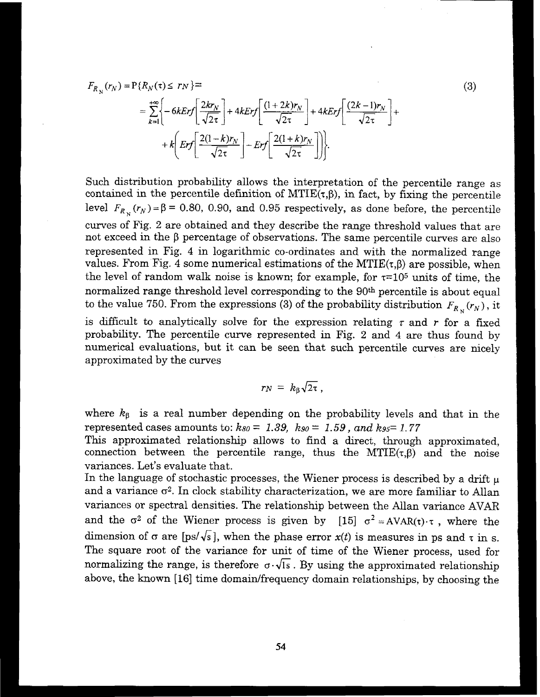$$
F_{R_N}(r_N) = P\{R_N(\tau) \leq r_N\} =
$$
  
=  $\sum_{k=1}^{+\infty} \left\{-6kErf\left[\frac{2kr_N}{\sqrt{2\tau}}\right] + 4kErf\left[\frac{(1+2k)r_N}{\sqrt{2\tau}}\right] + 4kErf\left[\frac{(2k-1)r_N}{\sqrt{2\tau}}\right] + k\left[Erf\left[\frac{2(1-k)r_N}{\sqrt{2\tau}}\right] - Erf\left[\frac{2(1+k)r_N}{\sqrt{2\tau}}\right]\right]\right\}.$ 

Such distribution probability allows the interpretation of the percentile range as contained in the percentile definition of  $MTIE(\tau, \beta)$ , in fact, by fixing the percentile level  $F_{R_N}(r_N) = \beta = 0.80, 0.90,$  and 0.95 respectively, as done before, the percentile curves of Fig. 2 are obtained and they describe the range threshold values that are not exceed in the  $\beta$  percentage of observations. The same percentile curves are also represented in Fig. 4 in logarithmic co-ordinates and with the normalized range values. From Fig. 4 some numerical estimations of the  $MTIE(\tau,\beta)$  are possible, when the level of random walk noise is known; for example, for  $\tau=10^5$  units of time, the normalized range threshold level corresponding to the 90<sup>th</sup> percentile is about equal to the value 750. From the expressions (3) of the probability distribution  $F_{R_N}(r_N)$ , it is difficult to analytically solve for the expression relating  $\tau$  and  $r$  for a fixed probability. The percentile curve represented in Fig, **2** and 4 are thus found by

 $(3)$ 

numerical evaluations, but it can be seen that such percentile curves are nicely approximated by the curves

$$
r_N = k_\beta \sqrt{2\tau} ,
$$

where  $k_{\beta}$  is a real number depending on the probability levels and that in the represented cases amounts to:  $ks_0 = 1.39$ ,  $ks_0 = 1.59$ , and  $ks_0 = 1.77$ 

This approximated relationship allows to find a direct, through approximated, connection between the percentile range, thus the MTIE $(\tau,\beta)$  and the noise variances. Let's evaluate that.

In the language of stochastic processes, the Wiener process is described by a drift  $\mu$ and a variance  $\sigma^2$ . In clock stability characterization, we are more familiar to Allan variances or spectral densities. The relationship between the Allan variance AVAR and the  $\sigma^2$  of the Wiener process is given by [15]  $\sigma^2 = AVAR(\tau) \cdot \tau$ , where the dimension of  $\sigma$  are [ps/ $\sqrt{s}$ ], when the phase error  $x(t)$  is measures in ps and  $\tau$  in s. The square root of the variance for unit of time of the Wiener process, used for normalizing the range, is therefore  $\sigma \cdot \sqrt{1s}$ . By using the approximated relationship above, the known [16] time domain/frequency domain relationships, by choosing the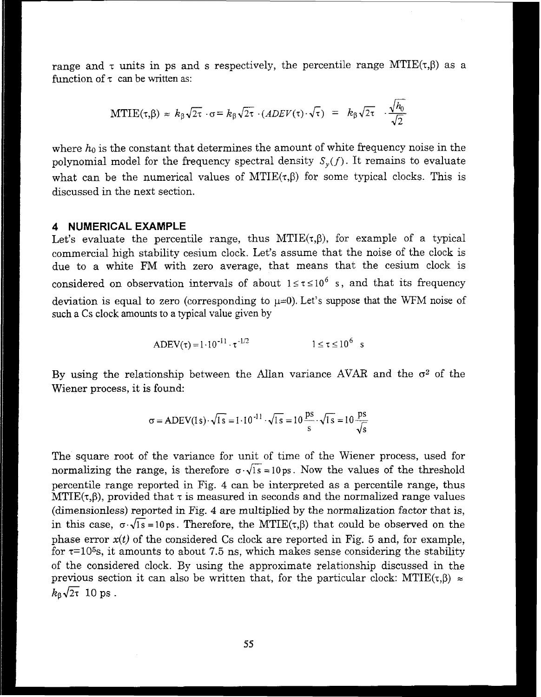range and  $\tau$  units in ps and s respectively, the percentile range MTIE( $\tau$ , $\beta$ ) as a function of  $\tau$  can be written as:

$$
MTIE(\tau, \beta) \approx k_{\beta} \sqrt{2\tau} \cdot \sigma = k_{\beta} \sqrt{2\tau} \cdot (ADEV(\tau) \cdot \sqrt{\tau}) = k_{\beta} \sqrt{2\tau} \cdot \frac{\sqrt{h_0}}{\sqrt{2}}
$$

where  $h_0$  is the constant that determines the amount of white frequency noise in the polynomial model for the frequency spectral density  $S_{\nu}(f)$ . It remains to evaluate what can be the numerical values of  $MTIE(\tau, \beta)$  for some typical clocks. This is discussed in the next section.

#### 4 NUMERICAL EXAMPLE

Let's evaluate the percentile range, thus  $MTIE(\tau,\beta)$ , for example of a typical commercial hgh stability cesium clock. Let's assume that the noise of the clock is due to a white FM with zero average, that means that the cesium clock is considered on observation intervals of about  $1 \le \tau \le 10^6$  s, and that its frequency deviation is equal to zero (corresponding to  $\mu=0$ ). Let's suppose that the WFM noise of such a Cs clock amounts to a typical value given by

$$
ADEV(\tau) = 1 \cdot 10^{-11} \cdot \tau^{-1/2} \qquad 1 \le \tau \le 10^6 \text{ s}
$$

By using the relationship between the Allan variance AVAR and the  $\sigma^2$  of the Wiener process, it is found:

$$
\sigma = \text{ADEV}(1\,\text{s}) \cdot \sqrt{1\,\text{s}} = 1 \cdot 10^{-11} \cdot \sqrt{1\,\text{s}} = 10 \, \frac{\text{ps}}{\text{s}} \cdot \sqrt{1\,\text{s}} = 10 \, \frac{\text{ps}}{\sqrt{\text{s}}}
$$

The square root of the variance for unit of time of the Wiener process, used for normalizing the range, is therefore  $\sigma \sqrt{1s} = 10 \text{ ps}$ . Now the values of the threshold percentile range reported in Fig. 4 can be interpreted as a percentile range, thus  $MTIE(\tau,\beta)$ , provided that  $\tau$  is measured in seconds and the normalized range values (dimensionless) reported in Fig. 4 are multiplied by the normalization factor that is, in this case,  $\sigma \cdot \sqrt{1s} = 10 \text{ ps}$ . Therefore, the MTIE( $\tau, \beta$ ) that could be observed on the phase error  $x(t)$  of the considered Cs clock are reported in Fig. 5 and, for example, for  $\tau$ =10<sup>5</sup>s, it amounts to about 7.5 ns, which makes sense considering the stability of the considered clock. By using the approximate relationship discussed in the previous section it can also be written that, for the particular clock:  $MTIE(\tau,\beta) \approx$  $k_{\text{B}}\sqrt{2\tau}$  10 ps.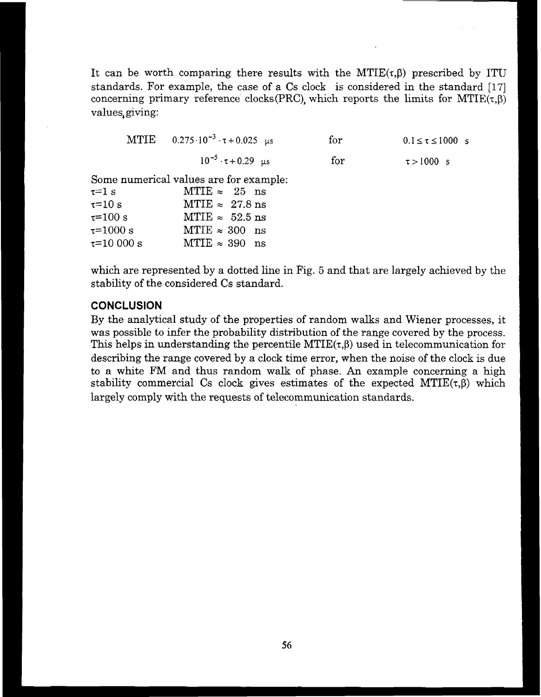It can be worth comparing there results with the MTIE $(\tau, \beta)$  prescribed by ITU standards. For example, the case of a Cs clock is considered in the standard [17] concerning primary reference clocks(PRC), which reports the limits for  $MTIE(\tau,\beta)$ values, giving:

|                                                                                                           | MTIE $0.275 \cdot 10^{-3} \cdot \tau + 0.025$ us                                                                                                                     | for | $0.1 \le \tau \le 1000$ s |
|-----------------------------------------------------------------------------------------------------------|----------------------------------------------------------------------------------------------------------------------------------------------------------------------|-----|---------------------------|
|                                                                                                           | $10^{-5}$ $\cdot \tau + 0.29$ us                                                                                                                                     | for | $\tau > 1000$ s           |
| $t=1\;{\rm s}$<br>$\tau = 10~\mathrm{s}$<br>$\tau = 100 \text{ s}$<br>$\tau = 1000 s$<br>$\tau = 10000 s$ | Some numerical values are for example:<br>$MTIE \approx 25$ ns<br>MTIE $\approx 27.8$ ns<br>MTIE $\approx$ 52.5 ns<br>$MTIE \approx 300$ ns<br>$MTIE \approx 390$ ns |     |                           |

which are represented by a dotted line in Fig. 5 and that are largely achieved by the stability of the considered Cs standard.

## **CONCLUSION**

By the analytical study of the properties of random walks and Wiener processes, it was possible to infer the probability distribution of the range covered by the process. This helps in understanding the percentile  $MTIE(\tau,\beta)$  used in telecommunication for describing the range covered by a clock time error, when the noise of the clock is due to a white FM and thus random walk of phase. An example concerning a high stability commercial Cs clock gives estimates of the expected MTIE $(\tau,\beta)$  which largely comply with the requests of telecommunication standards.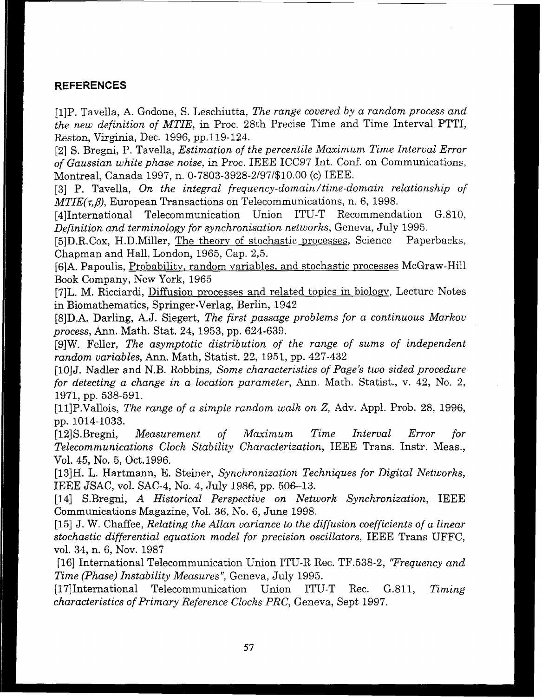## **REFERENCES**

[l]P. *Tavella,* A. *Godone, S. Leschiutta, The range covered by a random process and the new definition of MTIE, in* Proc. 28th *Precise Time and Time Interval PTTI, Reston, Virginia,* Dec. *1996,* **pp.119-124.** 

[2] S. *Bregni,* P. *Tavella, Estimation of the percentile* **Maximum** *Time Interval Error of Gaussian white phase noise, in Proc. IEEE* ICC97 Int. Conf. *on Communications, Montreal, Canada 1997,* n. *0-7803-3928-2/97/\$10.00 (c) IEEE.* 

*[3] P. Tavella, On the integral* **frequency-domain/time-domain** *relationship of MTIE(r,P), European Transactions on Telecommunications,* n. *6, 1998.* 

*[4]International Telecommunication Union ITU-T Recommendation G.810, Definition and terminology for synchronisation networks, Geneva, July* 1995.

[5]D.R.Cox, *H.D.Miller, The theorv* of *stochastic ~rocesses, Science Paperbacks,*  Chapman and *Hall, London, 1965,* Cap. *2,5.* 

**[6]A.** *Papoulis, Probability, random variables,* and *stochastic processes* McGraw-Hill *Book* Company, *New York, 1965* 

**[7]L.** *M. Ricciardi, Diffusion processes and related topics* in *biolow, Lecture Notes*  in *Biomathematics, Springer-Verlag, Berlin, 1942* 

*C8JD.A. Darling, A.J. Siegert, The first passage problems for a continuous Markou process,* Ann. *Math. Stat.* **24,** *1953,* **pp.** *624-639.* 

[9]W. *Feller, The asymptotic distribution of the range of sums of independent random variables,* Ann. Math, *Statist.* **22,** *1951,* **pp.** *427-432* 

[IOIJ. *Nadler* and *N.B. Robbins, Some characteristics of Page's two sided procedure for detecting a change in a location parameter,* Ann. *Math. Statist., v. 42, No. 2, 1971,* **pp.** *538-591.* 

*[ll]P.Vallois, The range of a simple random walk on* 2, *Adv. Appl. Prob. 28, 1996,*  **pp.** *1014-1033.* 

*[l=ZJS.Bregni, Measurement of Maximum Time Interval Error for Telecommunications Clock Stability Characterization, IEEE Trans. Instr. Meas., Vol.* **45,** No. 5, *Oct.1996.* 

**[13]H.** *L. Hartmann, E. Steiner, Synchronization Techniques for Digital Networks, IEEE JSAC,* vol, **SAC-4,** *No. 4, July 1986, pp.* **50&-13.** 

*[14]* **S.Bregni,** *A Historical Perspective on Network Synchronization, IEEE Communications Magazine, Vol.* **36,** No. 6, June 1998.

**[15]** J. *W.* Chaffee, *Relating the Allan variance to the diffusion coefficients of a linear stochastic differential equation model for precision oscillators, IEEE Trans UFFC, vol.* **34,** *n.* 6, *Nov. 1987* 

[16] *International Telecommunication Union ITU-R Rec.* TF.538-2, *'%requency and Time (Phase) Instability Measures", Geneva, July 1995.* 

*[17]International Telecommunication Union ITU-T Rec. G.811, Timing characteristics of Primary Reference Clocks PRC, Geneva,* Sept *1997.*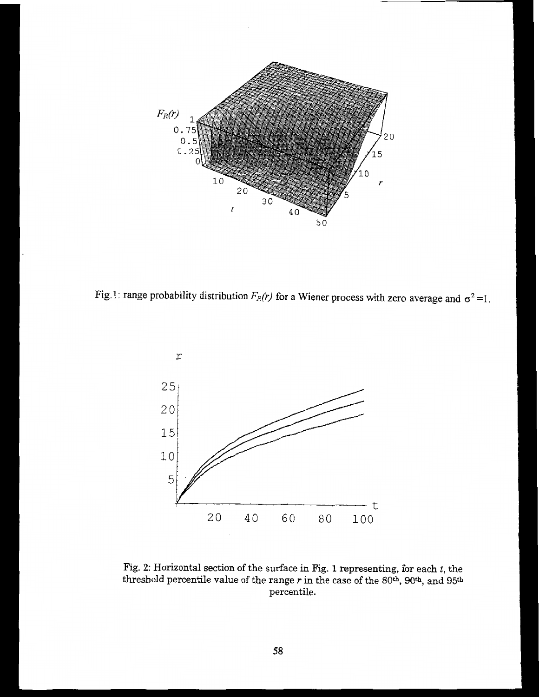

Fig. 1: range probability distribution  $F_R(r)$  for a Wiener process with zero average and  $\sigma^2 = 1$ .



Fig. **2:** Horizontal section of the surface in Fig. 1 representing, for each *t,* the threshold percentile value of the range *r* in the case of the 80<sup>th</sup>, 90<sup>th</sup>, and 95<sup>th</sup> percentile.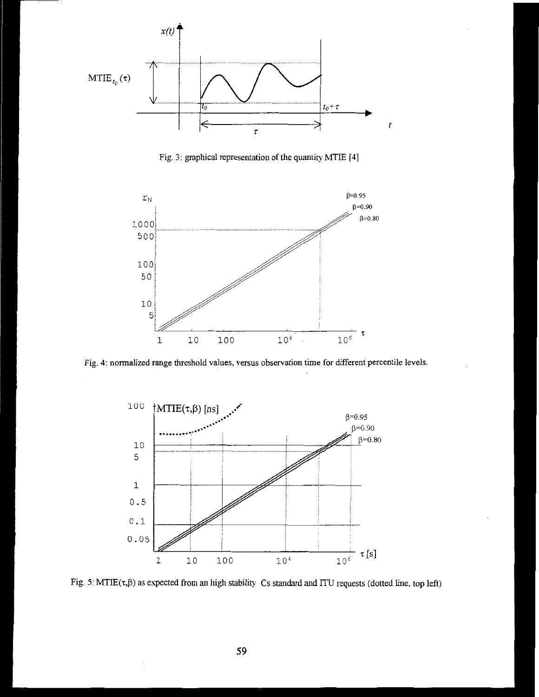

Fig. 3: graphical representation of the quantity MTIE [4]



Fig. 4: normalized **range** threshold values, versus observation **time** for different percentile levels.



Fig. 5:  $MTIE(\tau, \beta)$  as expected from an high stability Cs standard and ITU requests (dotted line, top left)